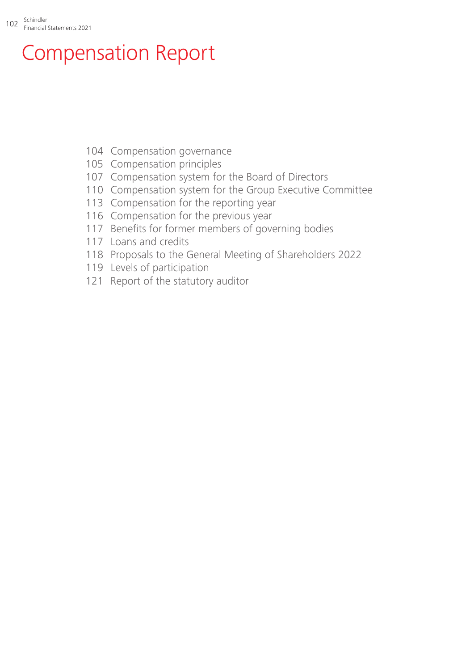## Compensation Report

- [Compensation governance](#page-2-0)
- [Compensation principles](#page-3-0)
- [Compensation system for the Board of Directors](#page-5-0)
- [Compensation system for the Group Executive Committee](#page-8-0)
- [Compensation for the reporting year](#page-11-0)
- [Compensation for the previous year](#page-14-0)
- Benefits for former members of governing bodies
- [Loans and credits](#page-15-0)
- [Proposals to the General Meeting of Shareholders 2022](#page-16-0)
- [Levels of participation](#page-17-0)
- [Report of the statutory auditor](#page-19-0)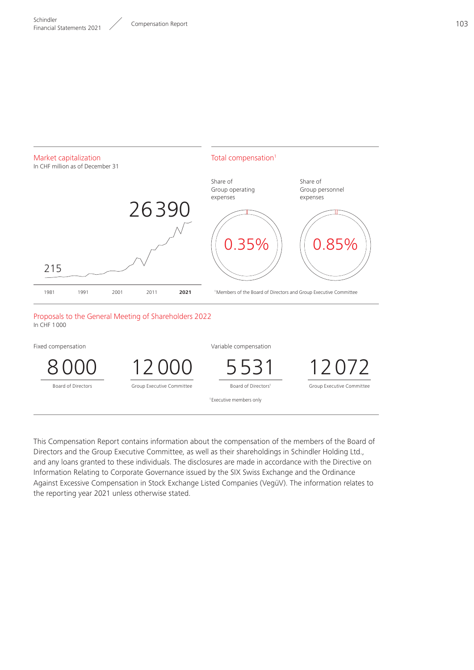

This Compensation Report contains information about the compensation of the members of the Board of Directors and the Group Executive Committee, as well as their shareholdings in Schindler Holding Ltd., and any loans granted to these individuals. The disclosures are made in accordance with the Directive on Information Relating to Corporate Governance issued by the SIX Swiss Exchange and the Ordinance Against Excessive Compensation in Stock Exchange Listed Companies (VegüV). The information relates to the reporting year 2021 unless otherwise stated.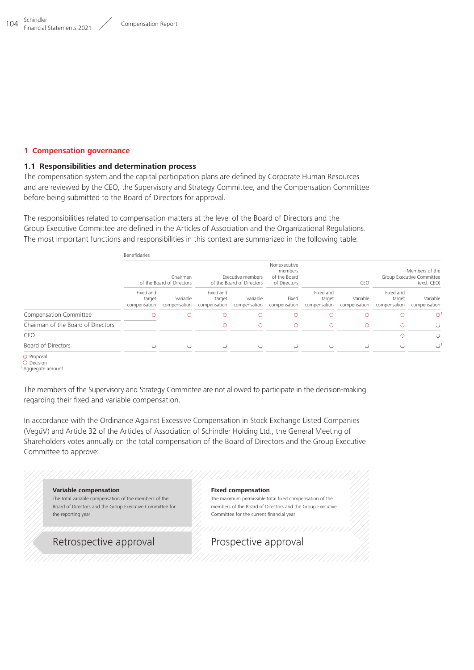#### <span id="page-2-0"></span>**1 Compensation governance**

#### **1.1 Responsibilities and determination process**

The compensation system and the capital participation plans are defined by Corporate Human Resources and are reviewed by the CEO, the Supervisory and Strategy Committee, and the Compensation Committee before being submitted to the Board of Directors for approval.

The responsibilities related to compensation matters at the level of the Board of Directors and the Group Executive Committee are defined in the Articles of Association and the Organizational Regulations. The most important functions and responsibilities in this context are summarized in the following table:

|                                    | Beneficiaries                         |                          |                                                |                          |                                                         |                                     |                          |                                                            |                          |
|------------------------------------|---------------------------------------|--------------------------|------------------------------------------------|--------------------------|---------------------------------------------------------|-------------------------------------|--------------------------|------------------------------------------------------------|--------------------------|
|                                    | Chairman<br>of the Board of Directors |                          | Executive members<br>of the Board of Directors |                          | Nonexecutive<br>members<br>of the Board<br>of Directors | CEO                                 |                          | Members of the<br>Group Executive Committee<br>(excl. CEO) |                          |
|                                    | Fixed and<br>target<br>compensation   | Variable<br>compensation | Fixed and<br>target<br>compensation            | Variable<br>compensation | Fixed<br>compensation                                   | Fixed and<br>target<br>compensation | Variable<br>compensation | Fixed and<br>target<br>compensation                        | Variable<br>compensation |
| Compensation Committee             | $\circ$                               | $\circ$                  | Ω                                              | Ω                        | Ω                                                       | Ω                                   | ⊙                        | O                                                          | $\circ$                  |
| Chairman of the Board of Directors |                                       |                          | ∩                                              | $\circ$                  | $\circ$                                                 | $\circ$                             | $\circ$                  | $\circ$                                                    | $\bigcirc$               |
| CEO                                |                                       |                          |                                                |                          |                                                         |                                     |                          | O                                                          | $\circ$                  |
| Board of Directors                 |                                       | ∩                        | ∩                                              | ∩                        | Ω                                                       | ∩                                   | ∩                        | ∩                                                          | $\bigcap$                |
| O Proposal<br>$\bigcirc$ Decision  |                                       |                          |                                                |                          |                                                         |                                     |                          |                                                            |                          |

```
1Aggregate amount
```
The members of the Supervisory and Strategy Committee are not allowed to participate in the decision-making regarding their fixed and variable compensation.

In accordance with the Ordinance Against Excessive Compensation in Stock Exchange Listed Companies (VegüV) and Article 32 of the Articles of Association of Schindler Holding Ltd., the General Meeting of Shareholders votes annually on the total compensation of the Board of Directors and the Group Executive Committee to approve:

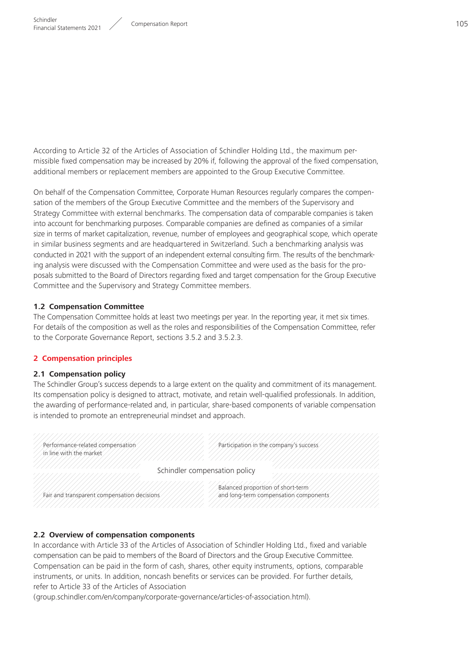<span id="page-3-0"></span>According to Article 32 of the Articles of Association of Schindler Holding Ltd., the maximum permissible fixed compensation may be increased by 20% if, following the approval of the fixed compensation, additional members or replacement members are appointed to the Group Executive Committee.

On behalf of the Compensation Committee, Corporate Human Resources regularly compares the compensation of the members of the Group Executive Committee and the members of the Supervisory and Strategy Committee with external benchmarks. The compensation data of comparable companies is taken into account for benchmarking purposes. Comparable companies are defined as companies of a similar size in terms of market capitalization, revenue, number of employees and geographical scope, which operate in similar business segments and are headquartered in Switzerland. Such a benchmarking analysis was conducted in 2021 with the support of an independent external consulting firm. The results of the benchmarking analysis were discussed with the Compensation Committee and were used as the basis for the proposals submitted to the Board of Directors regarding fixed and target compensation for the Group Executive Committee and the Supervisory and Strategy Committee members.

#### **1.2 Compensation Committee**

The Compensation Committee holds at least two meetings per year. In the reporting year, it met six times. For details of the composition as well as the roles and responsibilities of the Compensation Committee, refer to the Corporate Governance Report, sections 3.5.2 and 3.5.2.3.

#### **2 Compensation principles**

#### **2.1 Compensation policy**

The Schindler Group's success depends to a large extent on the quality and commitment of its management. Its compensation policy is designed to attract, motivate, and retain well-qualified professionals. In addition, the awarding of performance-related and, in particular, share-based components of variable compensation is intended to promote an entrepreneurial mindset and approach.

| Performance-related compensation<br>in line with the market | Participation in the company's success                                     |  |
|-------------------------------------------------------------|----------------------------------------------------------------------------|--|
|                                                             | Schindler compensation policy                                              |  |
| Fair and transparent compensation decisions                 | Balanced proportion of short-term<br>and long-term compensation components |  |

#### **2.2 Overview of compensation components**

In accordance with Article 33 of the Articles of Association of Schindler Holding Ltd., fixed and variable compensation can be paid to members of the Board of Directors and the Group Executive Committee. Compensation can be paid in the form of cash, shares, other equity instruments, options, comparable instruments, or units. In addition, noncash benefits or services can be provided. For further details, refer to Article 33 of the Articles of Association

( aroup.schindler.com/en/company/corporate-governance/articles-of-association.html).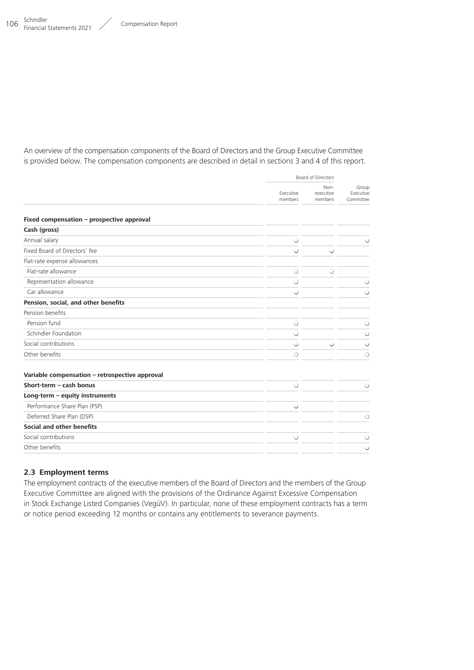An overview of the compensation components of the Board of Directors and the Group Executive Committee is provided below. The compensation components are described in detail in sections 3 and 4 of this report.

|                                                |                      | Board of Directors           |                                 |
|------------------------------------------------|----------------------|------------------------------|---------------------------------|
|                                                | Executive<br>members | Non-<br>executive<br>members | Group<br>Executive<br>Committee |
| Fixed compensation - prospective approval      |                      |                              |                                 |
| Cash (gross)                                   |                      |                              |                                 |
| Annual salary                                  | $\circ$              |                              | $\circ$                         |
| Fixed Board of Directors' fee                  | $\bigcirc$           | $\bigcirc$                   |                                 |
| Flat-rate expense allowances                   |                      |                              |                                 |
| Flat-rate allowance                            | $\circ$              | $\circ$                      |                                 |
| Representation allowance                       | $\circ$              |                              | $\circ$                         |
| Car allowance                                  | $\circ$              |                              | $\circ$                         |
| Pension, social, and other benefits            |                      |                              |                                 |
| Pension benefits                               |                      |                              |                                 |
| Pension fund                                   | $\circ$              |                              | $\circ$                         |
| Schindler Foundation                           | $\circ$              |                              | $\circ$                         |
| Social contributions                           | ∩                    | $\circ$                      | $\bigcirc$                      |
| Other benefits                                 | $\circ$              |                              | $\circ$                         |
| Variable compensation - retrospective approval |                      |                              |                                 |
| Short-term - cash bonus                        | $\circ$              |                              | $\circ$                         |
| Long-term - equity instruments                 |                      |                              |                                 |
| Performance Share Plan (PSP)                   | $\circ$              |                              |                                 |
| Deferred Share Plan (DSP)                      |                      |                              | $\circ$                         |
| Social and other benefits                      |                      |                              |                                 |
| Social contributions                           | $\circ$              |                              | $\circ$                         |
| Other benefits                                 |                      |                              | $\circ$                         |

#### **2.3 Employment terms**

The employment contracts of the executive members of the Board of Directors and the members of the Group Executive Committee are aligned with the provisions of the Ordinance Against Excessive Compensation in Stock Exchange Listed Companies (VegüV). In particular, none of these employment contracts has a term or notice period exceeding 12 months or contains any entitlements to severance payments.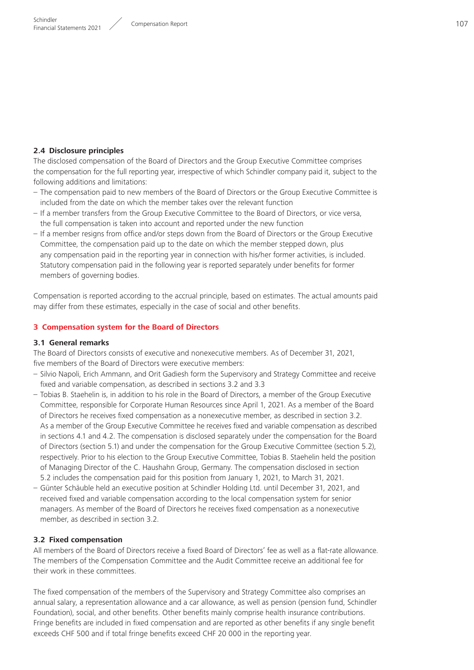#### <span id="page-5-0"></span>**2.4 Disclosure principles**

The disclosed compensation of the Board of Directors and the Group Executive Committee comprises the compensation for the full reporting year, irrespective of which Schindler company paid it, subject to the following additions and limitations:

- The compensation paid to new members of the Board of Directors or the Group Executive Committee is included from the date on which the member takes over the relevant function
- If a member transfers from the Group Executive Committee to the Board of Directors, or vice versa, the full compensation is taken into account and reported under the new function
- If a member resigns from office and/or steps down from the Board of Directors or the Group Executive Committee, the compensation paid up to the date on which the member stepped down, plus any compensation paid in the reporting year in connection with his/her former activities, is included. Statutory compensation paid in the following year is reported separately under benefits for former members of governing bodies.

Compensation is reported according to the accrual principle, based on estimates. The actual amounts paid may differ from these estimates, especially in the case of social and other benefits.

#### **3 Compensation system for the Board of Directors**

#### **3.1 General remarks**

The Board of Directors consists of executive and nonexecutive members. As of December 31, 2021, five members of the Board of Directors were executive members:

- Silvio Napoli, Erich Ammann, and Orit Gadiesh form the Supervisory and Strategy Committee and receive fixed and variable compensation, as described in sections 3.2 and 3.3
- Tobias B. Staehelin is, in addition to his role in the Board of Directors, a member of the Group Executive Committee, responsible for Corporate Human Resources since April 1, 2021. As a member of the Board of Directors he receives fixed compensation as a nonexecutive member, as described in section 3.2. As a member of the Group Executive Committee he receives fixed and variable compensation as described in sections 4.1 and 4.2. The compensation is disclosed separately under the compensation for the Board of Directors (section 5.1) and under the compensation for the Group Executive Committee (section 5.2), respectively. Prior to his election to the Group Executive Committee, Tobias B. Staehelin held the position of Managing Director of the C. Haushahn Group, Germany. The compensation disclosed in section 5.2 includes the compensation paid for this position from January 1, 2021, to March 31, 2021.
- Günter Schäuble held an executive position at Schindler Holding Ltd. until December 31, 2021, and received fixed and variable compensation according to the local compensation system for senior managers. As member of the Board of Directors he receives fixed compensation as a nonexecutive member, as described in section 3.2.

#### **3.2 Fixed compensation**

All members of the Board of Directors receive a fixed Board of Directors' fee as well as a flat-rate allowance. The members of the Compensation Committee and the Audit Committee receive an additional fee for their work in these committees.

The fixed compensation of the members of the Supervisory and Strategy Committee also comprises an annual salary, a representation allowance and a car allowance, as well as pension (pension fund, Schindler Foundation), social, and other benefits. Other benefits mainly comprise health insurance contributions. Fringe benefits are included in fixed compensation and are reported as other benefits if any single benefit exceeds CHF 500 and if total fringe benefits exceed CHF 20 000 in the reporting year.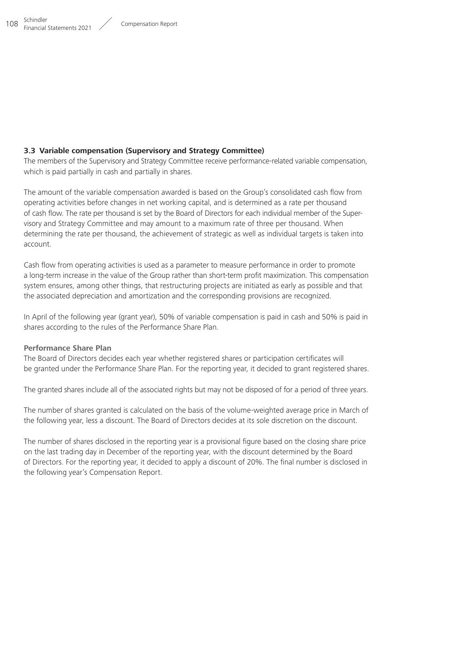## **3.3 Variable compensation (Supervisory and Strategy Committee)**

The members of the Supervisory and Strategy Committee receive performance-related variable compensation, which is paid partially in cash and partially in shares.

The amount of the variable compensation awarded is based on the Group's consolidated cash flow from operating activities before changes in net working capital, and is determined as a rate per thousand of cash flow. The rate per thousand is set by the Board of Directors for each individual member of the Supervisory and Strategy Committee and may amount to a maximum rate of three per thousand. When determining the rate per thousand, the achievement of strategic as well as individual targets is taken into account.

Cash flow from operating activities is used as a parameter to measure performance in order to promote a long-term increase in the value of the Group rather than short-term profit maximization. This compensation system ensures, among other things, that restructuring projects are initiated as early as possible and that the associated depreciation and amortization and the corresponding provisions are recognized.

In April of the following year (grant year), 50% of variable compensation is paid in cash and 50% is paid in shares according to the rules of the Performance Share Plan.

## **Performance Share Plan**

The Board of Directors decides each year whether registered shares or participation certificates will be granted under the Performance Share Plan. For the reporting year, it decided to grant registered shares.

The granted shares include all of the associated rights but may not be disposed of for a period of three years.

The number of shares granted is calculated on the basis of the volume-weighted average price in March of the following year, less a discount. The Board of Directors decides at its sole discretion on the discount.

The number of shares disclosed in the reporting year is a provisional figure based on the closing share price on the last trading day in December of the reporting year, with the discount determined by the Board of Directors. For the reporting year, it decided to apply a discount of 20%. The final number is disclosed in the following year's Compensation Report.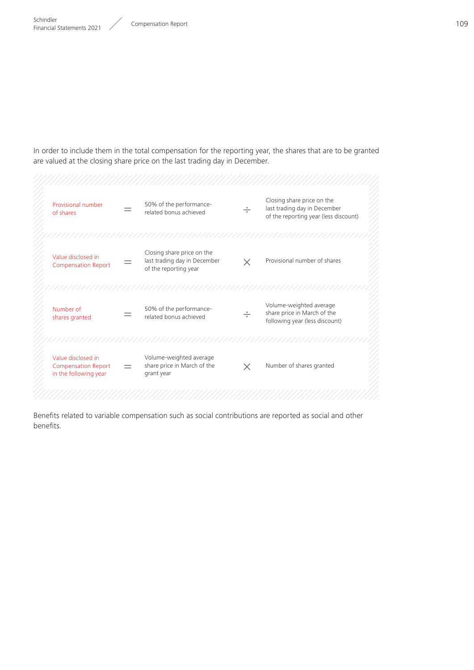In order to include them in the total compensation for the reporting year, the shares that are to be granted are valued at the closing share price on the last trading day in December.



Benefits related to variable compensation such as social contributions are reported as social and other benefits.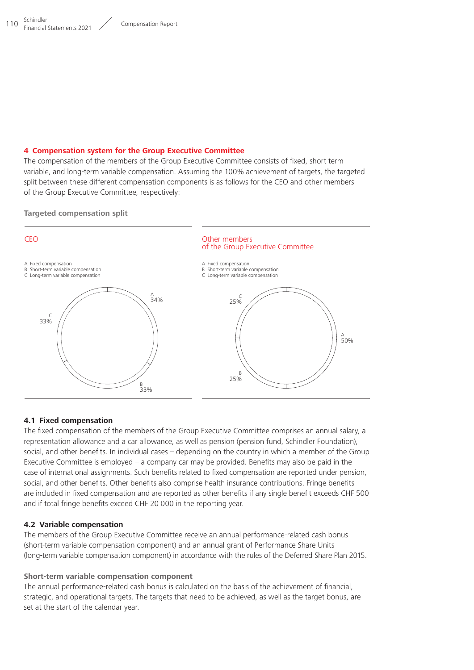#### <span id="page-8-0"></span>**4 Compensation system for the Group Executive Committee**

The compensation of the members of the Group Executive Committee consists of fixed, short-term variable, and long-term variable compensation. Assuming the 100% achievement of targets, the targeted split between these different compensation components is as follows for the CEO and other members of the Group Executive Committee, respectively:

#### **Targeted compensation split**



#### **4.1 Fixed compensation**

The fixed compensation of the members of the Group Executive Committee comprises an annual salary, a representation allowance and a car allowance, as well as pension (pension fund, Schindler Foundation), social, and other benefits. In individual cases – depending on the country in which a member of the Group Executive Committee is employed – a company car may be provided. Benefits may also be paid in the case of international assignments. Such benefits related to fixed compensation are reported under pension, social, and other benefits. Other benefits also comprise health insurance contributions. Fringe benefits are included in fixed compensation and are reported as other benefits if any single benefit exceeds CHF 500 and if total fringe benefits exceed CHF 20 000 in the reporting year.

#### **4.2 Variable compensation**

The members of the Group Executive Committee receive an annual performance-related cash bonus (short-term variable compensation component) and an annual grant of Performance Share Units (long-term variable compensation component) in accordance with the rules of the Deferred Share Plan 2015.

#### **Short-term variable compensation component**

The annual performance-related cash bonus is calculated on the basis of the achievement of financial, strategic, and operational targets. The targets that need to be achieved, as well as the target bonus, are set at the start of the calendar year.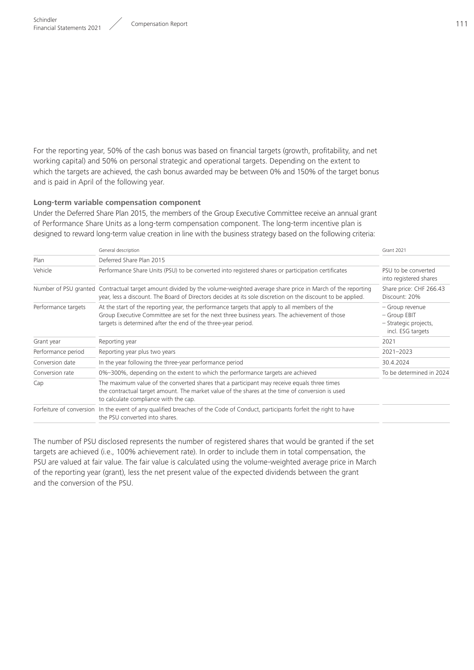For the reporting year, 50% of the cash bonus was based on financial targets (growth, profitability, and net working capital) and 50% on personal strategic and operational targets. Depending on the extent to which the targets are achieved, the cash bonus awarded may be between 0% and 150% of the target bonus and is paid in April of the following year.

#### **Long-term variable compensation component**

Under the Deferred Share Plan 2015, the members of the Group Executive Committee receive an annual grant of Performance Share Units as a long-term compensation component. The long-term incentive plan is designed to reward long-term value creation in line with the business strategy based on the following criteria:

|                     | General description                                                                                                                                                                                                                                            | <b>Grant 2021</b>                                                             |
|---------------------|----------------------------------------------------------------------------------------------------------------------------------------------------------------------------------------------------------------------------------------------------------------|-------------------------------------------------------------------------------|
| Plan                | Deferred Share Plan 2015                                                                                                                                                                                                                                       |                                                                               |
| Vehicle             | Performance Share Units (PSU) to be converted into registered shares or participation certificates                                                                                                                                                             | PSU to be converted<br>into registered shares                                 |
|                     | Number of PSU granted Contractual target amount divided by the volume-weighted average share price in March of the reporting<br>year, less a discount. The Board of Directors decides at its sole discretion on the discount to be applied.                    | Share price: CHF 266.43<br>Discount: 20%                                      |
| Performance targets | At the start of the reporting year, the performance targets that apply to all members of the<br>Group Executive Committee are set for the next three business years. The achievement of those<br>targets is determined after the end of the three-year period. | - Group revenue<br>- Group EBIT<br>- Strategic projects,<br>incl. ESG targets |
| Grant year          | Reporting year                                                                                                                                                                                                                                                 | 2021                                                                          |
| Performance period  | Reporting year plus two years                                                                                                                                                                                                                                  | 2021-2023                                                                     |
| Conversion date     | In the year following the three-year performance period                                                                                                                                                                                                        | 30.4.2024                                                                     |
| Conversion rate     | 0%-300%, depending on the extent to which the performance targets are achieved                                                                                                                                                                                 | To be determined in 2024                                                      |
| Cap                 | The maximum value of the converted shares that a participant may receive equals three times<br>the contractual target amount. The market value of the shares at the time of conversion is used<br>to calculate compliance with the cap.                        |                                                                               |
|                     | Forfeiture of conversion In the event of any qualified breaches of the Code of Conduct, participants forfeit the right to have<br>the PSU converted into shares.                                                                                               |                                                                               |

The number of PSU disclosed represents the number of registered shares that would be granted if the set targets are achieved (i.e., 100% achievement rate). In order to include them in total compensation, the PSU are valued at fair value. The fair value is calculated using the volume-weighted average price in March of the reporting year (grant), less the net present value of the expected dividends between the grant and the conversion of the PSU.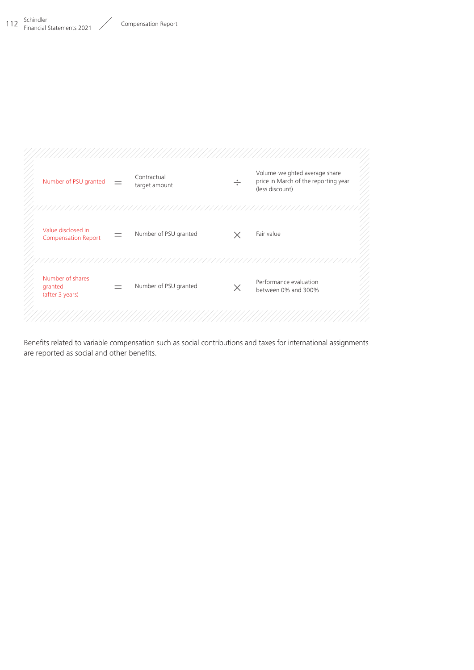

Benefits related to variable compensation such as social contributions and taxes for international assignments are reported as social and other benefits.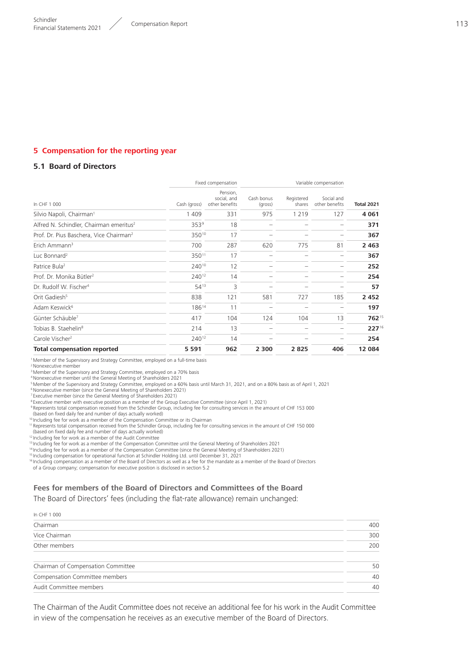## <span id="page-11-0"></span>**5 Compensation for the reporting year**

#### **5.1 Board of Directors**

|                                                     |                  | Fixed compensation                        |                          | Variable compensation |                              |                   |
|-----------------------------------------------------|------------------|-------------------------------------------|--------------------------|-----------------------|------------------------------|-------------------|
| In CHF 1 000                                        | Cash (gross)     | Pension.<br>social, and<br>other benefits | Cash bonus<br>(gross)    | Registered<br>shares  | Social and<br>other benefits | <b>Total 2021</b> |
| Silvio Napoli, Chairman <sup>1</sup>                | 1 4 0 9          | 331                                       | 975                      | 1 2 1 9               | 127                          | 4 0 6 1           |
| Alfred N. Schindler, Chairman emeritus <sup>2</sup> | 353 <sup>9</sup> | 18                                        |                          |                       |                              | 371               |
| Prof. Dr. Pius Baschera, Vice Chairman <sup>2</sup> | 35010            | 17                                        |                          |                       |                              | 367               |
| Erich Ammann <sup>3</sup>                           | 700              | 287                                       | 620                      | 775                   | 81                           | 2 4 6 3           |
| Luc Bonnard <sup>2</sup>                            | 35011            | 17                                        |                          |                       |                              | 367               |
| Patrice Bula <sup>2</sup>                           | 24010            | 12                                        |                          |                       |                              | 252               |
| Prof. Dr. Monika Bütler <sup>2</sup>                | 24012            | 14                                        |                          |                       |                              | 254               |
| Dr. Rudolf W. Fischer <sup>4</sup>                  | $54^{13}$        | 3                                         |                          |                       |                              | 57                |
| Orit Gadiesh <sup>5</sup>                           | 838              | 121                                       | 581                      | 727                   | 185                          | 2 4 5 2           |
| Adam Keswick <sup>6</sup>                           | 18614            | 11                                        |                          |                       |                              | 197               |
| Günter Schäuble <sup>7</sup>                        | 417              | 104                                       | 124                      | 104                   | 13                           | 76215             |
| Tobias B. Staehelin <sup>8</sup>                    | 214              | 13                                        |                          |                       |                              | $227^{16}$        |
| Carole Vischer <sup>2</sup>                         | 24012            | 14                                        | $\overline{\phantom{0}}$ |                       | $\overline{\phantom{0}}$     | 254               |
| <b>Total compensation reported</b>                  | 5 5 9 1          | 962                                       | 2 3 0 0                  | 2825                  | 406                          | 12 084            |
|                                                     |                  |                                           |                          |                       |                              |                   |

<sup>1</sup> Member of the Supervisory and Strategy Committee, employed on a full-time basis

<sup>2</sup> Nonexecutive member

3Member of the Supervisory and Strategy Committee, employed on a 70% basis 4Nonexecutive member until the General Meeting of Shareholders 2021

5Member of the Supervisory and Strategy Committee, employed on a 60% basis until March 31, 2021, and on a 80% basis as of April 1, 2021

<sup>6</sup> Nonexecutive member (since the General Meeting of Shareholders 2021) <sup>7</sup> Executive member (since the General Meeting of Shareholders 2021)

**BEXALLY MEMBER WITH CHARGE INTERNATIONAL STATE COMMITTEE** 2021, **BEXALLY COMMITTEE (SINCE April 1, 2021)** 

<sup>9</sup> Represents total compensation received from the Schindler Group, including fee for consulting services in the amount of CHF 153 000 (based on fixed daily fee and number of days actually worked)

<sup>10</sup> Including fee for work as a member of the Compensation Committee or its Chairman

<sup>11</sup> Represents total compensation received from the Schindler Group, including fee for consulting services in the amount of CHF 150 000<br>(based on fixed daily fee and number of days actually worked)

<sup>12</sup> Including fee for work as a member of the Audit Committee

<sup>13</sup> Including fee for work as a member of the Compensation Committee until the General Meeting of Shareholders 2021<br><sup>14</sup> Including fee for work as a member of the Compensation Committee (since the General Meeting of Share

<sup>16</sup> Including compensation as a member of the Board of Directors as well as a fee for the mandate as a member of the Board of Directors

of a Group company; compensation for executive position is disclosed in section 5.2

## **Fees for members of the Board of Directors and Committees of the Board**

The Board of Directors' fees (including the flat-rate allowance) remain unchanged:

| 400 |
|-----|
| 300 |
| 200 |
| 50  |
| 40  |
| 40  |
|     |

The Chairman of the Audit Committee does not receive an additional fee for his work in the Audit Committee in view of the compensation he receives as an executive member of the Board of Directors.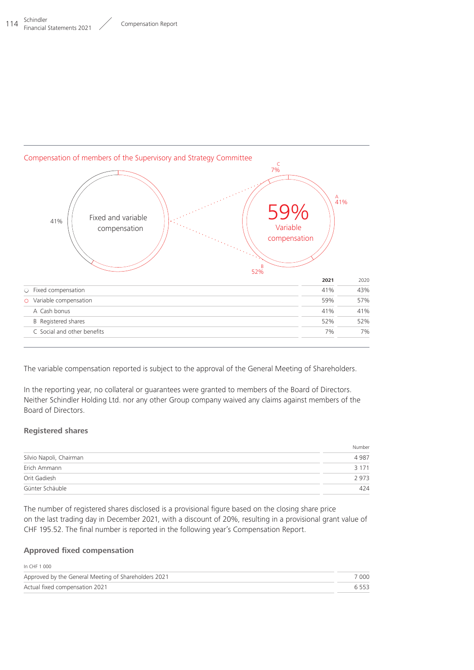

The variable compensation reported is subject to the approval of the General Meeting of Shareholders.

In the reporting year, no collateral or guarantees were granted to members of the Board of Directors. Neither Schindler Holding Ltd. nor any other Group company waived any claims against members of the Board of Directors.

#### **Registered shares**

|                         | Number  |
|-------------------------|---------|
| Silvio Napoli, Chairman | 4 9 8 7 |
| Erich Ammann            | 3 1 7 1 |
| Orit Gadiesh            | 2973    |
| Günter Schäuble         | 424     |

The number of registered shares disclosed is a provisional figure based on the closing share price on the last trading day in December 2021, with a discount of 20%, resulting in a provisional grant value of CHF 195.52. The final number is reported in the following year's Compensation Report.

#### **Approved fixed compensation**

| In CHF 1 000                                         |         |
|------------------------------------------------------|---------|
| Approved by the General Meeting of Shareholders 2021 | 7 000   |
| Actual fixed compensation 2021                       | 6 5 5 3 |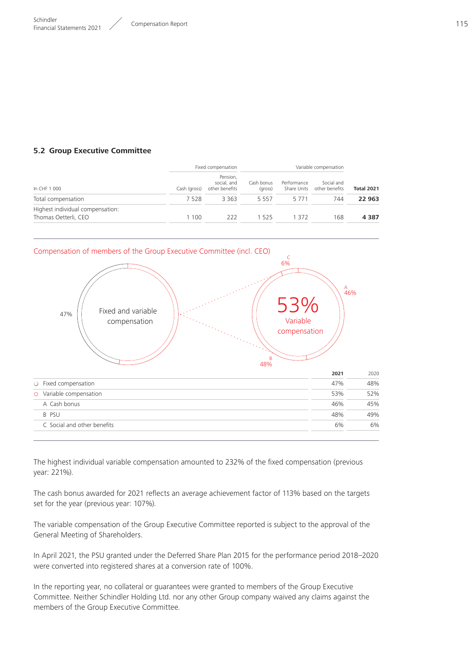#### **5.2 Group Executive Committee**

| Fixed compensation                                       |              |                                           | Variable compensation |                            |                              |                   |  |
|----------------------------------------------------------|--------------|-------------------------------------------|-----------------------|----------------------------|------------------------------|-------------------|--|
| In CHF 1 000                                             | Cash (gross) | Pension,<br>social, and<br>other benefits | Cash bonus<br>(gross) | Performance<br>Share Units | Social and<br>other benefits | <b>Total 2021</b> |  |
| Total compensation                                       | 7528         | 3 3 6 3                                   | 5 5 5 7               | 5 7 7 1                    | 744                          | 22 963            |  |
| Highest individual compensation:<br>Thomas Oetterli, CEO | 1100         | 222                                       | 1525                  | 1 372                      | 168                          | 4 3 8 7           |  |



The highest individual variable compensation amounted to 232% of the fixed compensation (previous year: 221%).

The cash bonus awarded for 2021 reflects an average achievement factor of 113% based on the targets set for the year (previous year: 107%).

The variable compensation of the Group Executive Committee reported is subject to the approval of the General Meeting of Shareholders.

In April 2021, the PSU granted under the Deferred Share Plan 2015 for the performance period 2018–2020 were converted into registered shares at a conversion rate of 100%.

In the reporting year, no collateral or guarantees were granted to members of the Group Executive Committee. Neither Schindler Holding Ltd. nor any other Group company waived any claims against the members of the Group Executive Committee.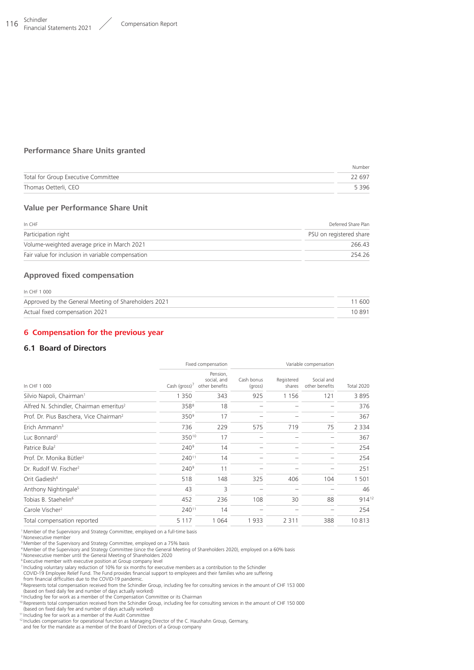#### <span id="page-14-0"></span>116 Schindler Schindler<br>Financial Statements 2021 Compensation Report

#### **Performance Share Units granted**

|                                     | Number  |
|-------------------------------------|---------|
| Total for Group Executive Committee | 22 697  |
| Thomas Oetterli, CEO                | 5 3 9 6 |

#### **Value per Performance Share Unit**

| In CHF                                            | Deferred Share Plan     |
|---------------------------------------------------|-------------------------|
| Participation right                               | PSU on registered share |
| Volume-weighted average price in March 2021       | 266.43                  |
| Fair value for inclusion in variable compensation | 254 26                  |

#### **Approved fixed compensation**

| In CHF 1 000                                         |        |
|------------------------------------------------------|--------|
| Approved by the General Meeting of Shareholders 2021 | 11 600 |
| Actual fixed compensation 2021                       | 10891  |

#### **6 Compensation for the previous year**

#### **6.1 Board of Directors**

|                                                     |                  | Fixed compensation<br>Variable compensation |                       |                      |                              |            |
|-----------------------------------------------------|------------------|---------------------------------------------|-----------------------|----------------------|------------------------------|------------|
| In CHF 1 000                                        | Cash (gross) $7$ | Pension,<br>social, and<br>other benefits   | Cash bonus<br>(gross) | Registered<br>shares | Social and<br>other benefits | Total 2020 |
| Silvio Napoli, Chairman <sup>1</sup>                | 1 3 5 0          | 343                                         | 925                   | 1 1 5 6              | 121                          | 3895       |
| Alfred N. Schindler, Chairman emeritus <sup>2</sup> | 358 <sup>8</sup> | 18                                          |                       |                      |                              | 376        |
| Prof. Dr. Pius Baschera, Vice Chairman <sup>2</sup> | 350 <sup>9</sup> | 17                                          |                       |                      |                              | 367        |
| Erich Ammann <sup>3</sup>                           | 736              | 229                                         | 575                   | 719                  | 75                           | 2 3 3 4    |
| Luc Bonnard <sup>2</sup>                            | 35010            | 17                                          |                       |                      |                              | 367        |
| Patrice Bula <sup>2</sup>                           | 240 <sup>9</sup> | 14                                          |                       |                      |                              | 254        |
| Prof. Dr. Monika Bütler <sup>2</sup>                | 24011            | 14                                          |                       |                      |                              | 254        |
| Dr. Rudolf W. Fischer <sup>2</sup>                  | $240^9$          | 11                                          |                       |                      |                              | 251        |
| Orit Gadiesh <sup>4</sup>                           | 518              | 148                                         | 325                   | 406                  | 104                          | 1 501      |
| Anthony Nightingale <sup>5</sup>                    | 43               | 3                                           |                       |                      |                              | 46         |
| Tobias B. Staehelin <sup>6</sup>                    | 452              | 236                                         | 108                   | 30                   | 88                           | $914^{12}$ |
| Carole Vischer <sup>2</sup>                         | 24011            | 14                                          |                       |                      | -                            | 254        |
| Total compensation reported                         | 5 1 1 7          | 064                                         | 1933                  | 2 3 1 1              | 388                          | 10813      |
|                                                     |                  |                                             |                       |                      |                              |            |

<sup>1</sup> Member of the Supervisory and Strategy Committee, employed on a full-time basis

<sup>2</sup> Nonexecutive member

<sup>3</sup> Member of the Supervisory and Strategy Committee, employed on a 75% basis<br><sup>4</sup> Member of the Supervisory and Strategy Committee (since the General Meeting of Shareholders 2020), employed on a 60% basis<br><sup>5</sup> Nonexecutive

<sup>6</sup> Executive member with executive position at Group company level<br><sup>7</sup> Including voluntary salary reduction of 10% for six months for executive members as a contribution to the Schindler

COVID-19 Employee Relief Fund. The Fund provides financial support to employees and their families who are suffering from financial difficulties due to the COVID-19 pandemic.

<sup>8</sup> Represents total compensation received from the Schindler Group, including fee for consulting services in the amount of CHF 153 000

(based on fixed daily fee and number of days actually worked)<br><sup>9</sup> Including fee for work as a member of the Compensation Committee or its Chairman<br><sup>10</sup> Represents total compensation received from the Schindler Group, inclu (based on fixed daily fee and number of days actually worked)

<sup>11</sup> Including fee for work as a member of the Audit Committee

<sup>12</sup> Includes compensation for operational function as Managing Director of the C. Haushahn Group, Germany,

and fee for the mandate as a member of the Board of Directors of a Group company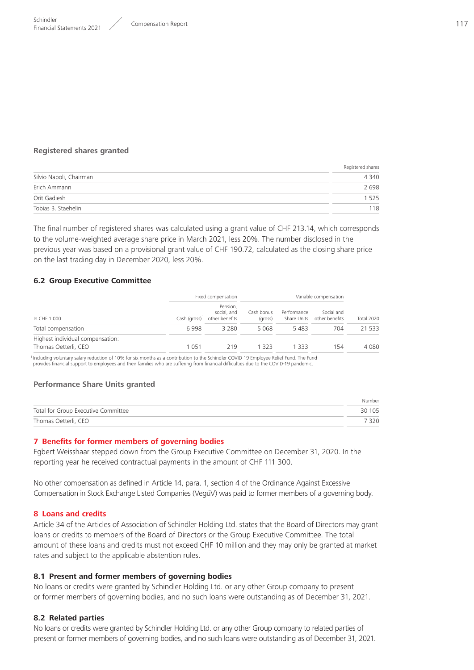#### <span id="page-15-0"></span>**Registered shares granted**

|                         | Registered shares |
|-------------------------|-------------------|
| Silvio Napoli, Chairman | 4 3 4 0           |
| Erich Ammann            | 2698              |
| Orit Gadiesh            | 1 5 2 5           |
| Tobias B. Staehelin     | 118               |

The final number of registered shares was calculated using a grant value of CHF 213.14, which corresponds to the volume-weighted average share price in March 2021, less 20%. The number disclosed in the previous year was based on a provisional grant value of CHF 190.72, calculated as the closing share price on the last trading day in December 2020, less 20%.

#### **6.2 Group Executive Committee**

|                                                          |         | Fixed compensation                                                  | Variable compensation |             |                                          |            |  |
|----------------------------------------------------------|---------|---------------------------------------------------------------------|-----------------------|-------------|------------------------------------------|------------|--|
| In CHF 1 000                                             |         | Pension.<br>social, and<br>Cash (gross) <sup>1</sup> other benefits | Cash bonus<br>(gross) | Performance | Social and<br>Share Units other benefits | Total 2020 |  |
| Total compensation                                       | 6998    | 3 2 8 0                                                             | 5 0 6 8               | 5483        | 704                                      | 21 533     |  |
| Highest individual compensation:<br>Thomas Oetterli, CEO | 1 0 5 1 | 219                                                                 | 1 323                 | 1333        | 154                                      | 4 080      |  |

<sup>1</sup> Including voluntary salary reduction of 10% for six months as a contribution to the Schindler COVID-19 Employee Relief Fund. The Fund provides financial support to employees and their families who are suffering from financial difficulties due to the COVID-19 pandemic.

#### **Performance Share Units granted**

|                                     | Number  |
|-------------------------------------|---------|
| Total for Group Executive Committee | 30 105  |
| Thomas Oetterli, CEO                | 7 3 2 0 |

#### **7 Benefits for former members of governing bodies**

Egbert Weisshaar stepped down from the Group Executive Committee on December 31, 2020. In the reporting year he received contractual payments in the amount of CHF 111 300.

No other compensation as defined in Article 14, para. 1, section 4 of the Ordinance Against Excessive Compensation in Stock Exchange Listed Companies (VegüV) was paid to former members of a governing body.

#### **8 Loans and credits**

Article 34 of the Articles of Association of Schindler Holding Ltd. states that the Board of Directors may grant loans or credits to members of the Board of Directors or the Group Executive Committee. The total amount of these loans and credits must not exceed CHF 10 million and they may only be granted at market rates and subject to the applicable abstention rules.

#### **8.1 Present and former members of governing bodies**

No loans or credits were granted by Schindler Holding Ltd. or any other Group company to present or former members of governing bodies, and no such loans were outstanding as of December 31, 2021.

#### **8.2 Related parties**

No loans or credits were granted by Schindler Holding Ltd. or any other Group company to related parties of present or former members of governing bodies, and no such loans were outstanding as of December 31, 2021.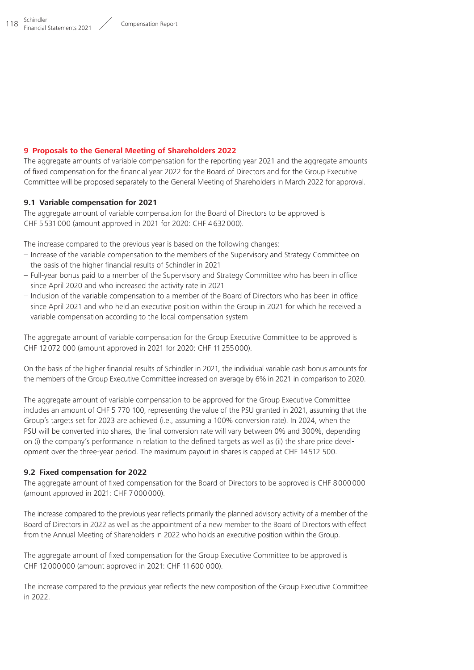## <span id="page-16-0"></span>**9 Proposals to the General Meeting of Shareholders 2022**

The aggregate amounts of variable compensation for the reporting year 2021 and the aggregate amounts of fixed compensation for the financial year 2022 for the Board of Directors and for the Group Executive Committee will be proposed separately to the General Meeting of Shareholders in March 2022 for approval.

## **9.1 Variable compensation for 2021**

The aggregate amount of variable compensation for the Board of Directors to be approved is CHF 5531000 (amount approved in 2021 for 2020: CHF 4632000).

The increase compared to the previous year is based on the following changes:

- Increase of the variable compensation to the members of the Supervisory and Strategy Committee on the basis of the higher financial results of Schindler in 2021
- Full-year bonus paid to a member of the Supervisory and Strategy Committee who has been in office since April 2020 and who increased the activity rate in 2021
- Inclusion of the variable compensation to a member of the Board of Directors who has been in office since April 2021 and who held an executive position within the Group in 2021 for which he received a variable compensation according to the local compensation system

The aggregate amount of variable compensation for the Group Executive Committee to be approved is CHF 12072 000 (amount approved in 2021 for 2020: CHF 11255000).

On the basis of the higher financial results of Schindler in 2021, the individual variable cash bonus amounts for the members of the Group Executive Committee increased on average by 6% in 2021 in comparison to 2020.

The aggregate amount of variable compensation to be approved for the Group Executive Committee includes an amount of CHF 5 770 100, representing the value of the PSU granted in 2021, assuming that the Group's targets set for 2023 are achieved (i.e., assuming a 100% conversion rate). In 2024, when the PSU will be converted into shares, the final conversion rate will vary between 0% and 300%, depending on (i) the company's performance in relation to the defined targets as well as (ii) the share price development over the three-year period. The maximum payout in shares is capped at CHF 14512 500.

## **9.2 Fixed compensation for 2022**

The aggregate amount of fixed compensation for the Board of Directors to be approved is CHF 8000000 (amount approved in 2021: CHF 7000000).

The increase compared to the previous year reflects primarily the planned advisory activity of a member of the Board of Directors in 2022 as well as the appointment of a new member to the Board of Directors with effect from the Annual Meeting of Shareholders in 2022 who holds an executive position within the Group.

The aggregate amount of fixed compensation for the Group Executive Committee to be approved is CHF 12000000 (amount approved in 2021: CHF 11600 000).

The increase compared to the previous year reflects the new composition of the Group Executive Committee in 2022.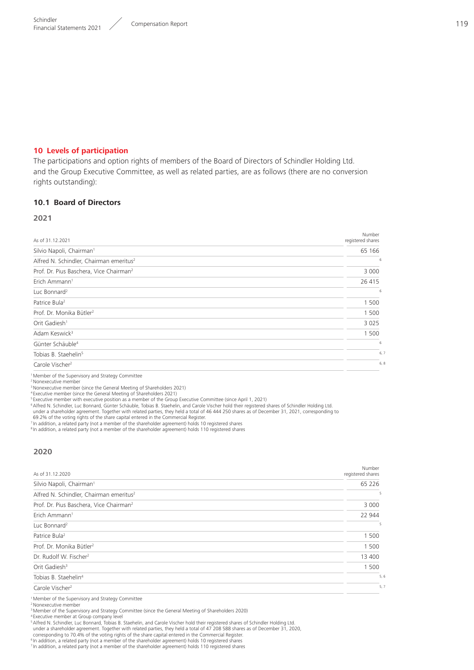#### <span id="page-17-0"></span>**10 Levels of participation**

The participations and option rights of members of the Board of Directors of Schindler Holding Ltd. and the Group Executive Committee, as well as related parties, are as follows (there are no conversion rights outstanding):

#### **10.1 Board of Directors**

#### **2021**

| As of 31.12.2021                                    | Number<br>registered shares |
|-----------------------------------------------------|-----------------------------|
| Silvio Napoli, Chairman <sup>1</sup>                | 65 166                      |
| Alfred N. Schindler, Chairman emeritus <sup>2</sup> | 6                           |
| Prof. Dr. Pius Baschera, Vice Chairman <sup>2</sup> | 3 0 0 0                     |
| Erich Ammann <sup>1</sup>                           | 26 415                      |
| Luc Bonnard <sup>2</sup>                            | -6                          |
| Patrice Bula <sup>2</sup>                           | 1 500                       |
| Prof. Dr. Monika Bütler <sup>2</sup>                | 1 500                       |
| Orit Gadiesh <sup>1</sup>                           | 3 0 2 5                     |
| Adam Keswick <sup>3</sup>                           | 1 500                       |
| Günter Schäuble <sup>4</sup>                        | 6                           |
| Tobias B. Staehelin <sup>5</sup>                    | 6,7                         |
| Carole Vischer <sup>2</sup>                         | 6, 8                        |
|                                                     |                             |

<sup>1</sup> Member of the Supervisory and Strategy Committee

<sup>2</sup> Nonexecutive member

3Nonexecutive member (since the General Meeting of Shareholders 2021) <sup>4</sup> Executive member (since the General Meeting of Shareholders 2021)

<sup>5</sup> Executive member with executive position as a member of the Group Executive Committee (since April 1, 2021)

<sup>6</sup>Alfred N. Schindler, Luc Bonnard, Günter Schäuble, Tobias B. Staehelin, and Carole Vischer hold their registered shares of Schindler Holding Ltd.<br>19 under a shareholder agreement. Together with related parties, they hel

<sup>7</sup> In addition, a related party (not a member of the shareholder agreement) holds 10 registered shares

<sup>8</sup> In addition, a related party (not a member of the shareholder agreement) holds 110 registered shares

#### **2020**

| As of 31.12.2020                                    | Number<br>registered shares |
|-----------------------------------------------------|-----------------------------|
| Silvio Napoli, Chairman <sup>1</sup>                | 65 226                      |
| Alfred N. Schindler, Chairman emeritus <sup>2</sup> | 5                           |
| Prof. Dr. Pius Baschera, Vice Chairman <sup>2</sup> | 3 0 0 0                     |
| Erich Ammann <sup>1</sup>                           | 22 944                      |
| Luc Bonnard <sup>2</sup>                            | 5                           |
| Patrice Bula <sup>2</sup>                           | 1 500                       |
| Prof. Dr. Monika Bütler <sup>2</sup>                | 1 500                       |
| Dr. Rudolf W. Fischer <sup>2</sup>                  | 13 400                      |
| Orit Gadiesh <sup>3</sup>                           | 1 500                       |
| Tobias B. Staehelin <sup>4</sup>                    | 5,6                         |
| Carole Vischer <sup>2</sup>                         | 5,7                         |

<sup>1</sup> Member of the Supervisory and Strategy Committee

<sup>2</sup> Nonexecutive member

<sup>3</sup> Member of the Supervisory and Strategy Committee (since the General Meeting of Shareholders 2020)<br><sup>4</sup> Executive member at Group company level<br><sup>5</sup> Alfred N. Schindler, Luc Bonnard, Tobias B. Staehelin, and Carole Vische under a shareholder agreement. Together with related parties, they held a total of 47 208 588 shares as of December 31, 2020,<br>corresponding to 70.4% of the voting rights of the share capital entered in the Commercial Regis

<sup>6</sup> In addition, a related party (not a member of the shareholder agreement) holds 10 registered shares <sup>7</sup> In addition, a related party (not a member of the shareholder agreement) holds 110 registered shares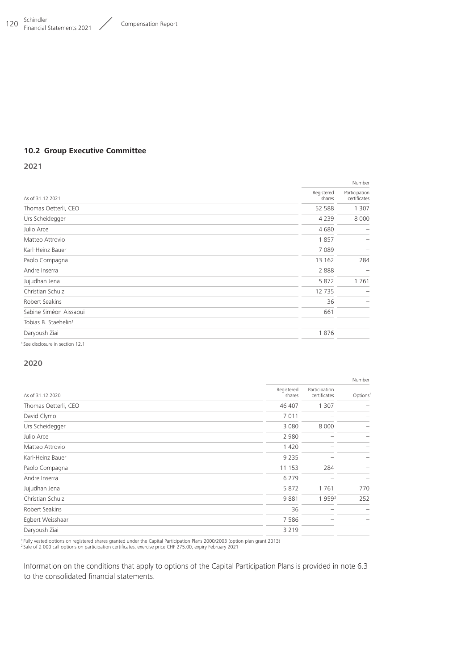#### **10.2 Group Executive Committee**

**2021**

|                                             |                      | Number                        |
|---------------------------------------------|----------------------|-------------------------------|
| As of 31.12.2021                            | Registered<br>shares | Participation<br>certificates |
| Thomas Oetterli, CEO                        | 52 588               | 1 307                         |
| Urs Scheidegger                             | 4 2 3 9              | 8 0 0 0                       |
| Julio Arce                                  | 4680                 |                               |
| Matteo Attrovio                             | 1857                 | -                             |
| Karl-Heinz Bauer                            | 7089                 |                               |
| Paolo Compagna                              | 13 162               | 284                           |
| Andre Inserra                               | 2888                 | -                             |
| Jujudhan Jena                               | 5872                 | 1761                          |
| Christian Schulz                            | 12735                |                               |
| Robert Seakins                              | 36                   | -                             |
| Sabine Siméon-Aissaoui                      | 661                  |                               |
| Tobias B. Staehelin <sup>1</sup>            |                      |                               |
| Daryoush Ziai                               | 1876                 |                               |
| <sup>1</sup> See disclosure in section 12.1 |                      |                               |

#### **2020**

|                      |                      |                               | Number               |  |
|----------------------|----------------------|-------------------------------|----------------------|--|
| As of 31.12.2020     | Registered<br>shares | Participation<br>certificates | Options <sup>1</sup> |  |
| Thomas Oetterli, CEO | 46 407               | 1 3 0 7                       |                      |  |
| David Clymo          | 7 0 1 1              |                               |                      |  |
| Urs Scheidegger      | 3 0 8 0              | 8 0 0 0                       |                      |  |
| Julio Arce           | 2 9 8 0              |                               |                      |  |
| Matteo Attrovio      | 1 4 2 0              |                               |                      |  |
| Karl-Heinz Bauer     | 9 2 3 5              |                               |                      |  |
| Paolo Compagna       | 11 153               | 284                           |                      |  |
| Andre Inserra        | 6 2 7 9              |                               |                      |  |
| Jujudhan Jena        | 5872                 | 1761                          | 770                  |  |
| Christian Schulz     | 9881                 | 1 959 <sup>2</sup>            | 252                  |  |
| Robert Seakins       | 36                   |                               |                      |  |
| Egbert Weisshaar     | 7586                 |                               |                      |  |
| Daryoush Ziai        | 3 2 1 9              |                               |                      |  |
|                      |                      |                               |                      |  |

<sup>1</sup> Fully vested options on registered shares granted under the Capital Participation Plans 2000/2003 (option plan grant 2013)<br><sup>2</sup> Sale of 2 000 call options on participation certificates, exercise price CHF 275.00, expiry

Information on the conditions that apply to options of the Capital Participation Plans is provided in note 6.3 to the consolidated financial statements.